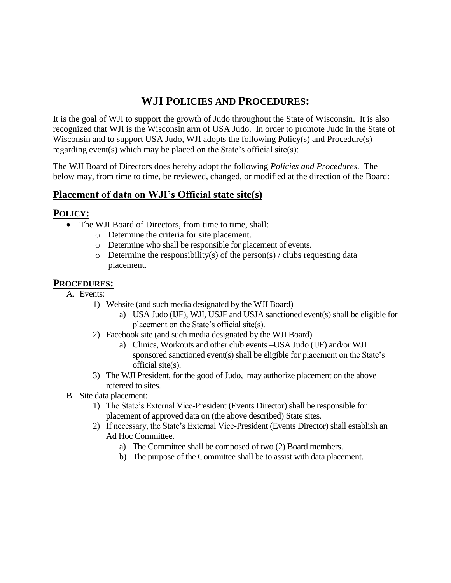## **WJI POLICIES AND PROCEDURES:**

It is the goal of WJI to support the growth of Judo throughout the State of Wisconsin. It is also recognized that WJI is the Wisconsin arm of USA Judo. In order to promote Judo in the State of Wisconsin and to support USA Judo, WJI adopts the following Policy(s) and Procedure(s) regarding event(s) which may be placed on the State's official site(s):

The WJI Board of Directors does hereby adopt the following *Policies and Procedures.* The below may, from time to time, be reviewed, changed, or modified at the direction of the Board:

## **Placement of data on WJI's Official state site(s)**

## **POLICY:**

- The WJI Board of Directors, from time to time, shall:
	- o Determine the criteria for site placement.
	- o Determine who shall be responsible for placement of events.
	- $\circ$  Determine the responsibility(s) of the person(s) / clubs requesting data placement.

## **PROCEDURES:**

- A. Events:
	- 1) Website (and such media designated by the WJI Board)
		- a) USA Judo (IJF), WJI, USJF and USJA sanctioned event(s) shall be eligible for placement on the State's official site(s).
	- 2) Facebook site (and such media designated by the WJI Board)
		- a) Clinics, Workouts and other club events –USA Judo (IJF) and/or WJI sponsored sanctioned event(s) shall be eligible for placement on the State's official site(s).
	- 3) The WJI President, for the good of Judo, may authorize placement on the above refereed to sites.
- B. Site data placement:
	- 1) The State's External Vice-President (Events Director) shall be responsible for placement of approved data on (the above described) State sites.
	- 2) If necessary, the State's External Vice-President (Events Director) shall establish an Ad Hoc Committee.
		- a) The Committee shall be composed of two (2) Board members.
		- b) The purpose of the Committee shall be to assist with data placement.